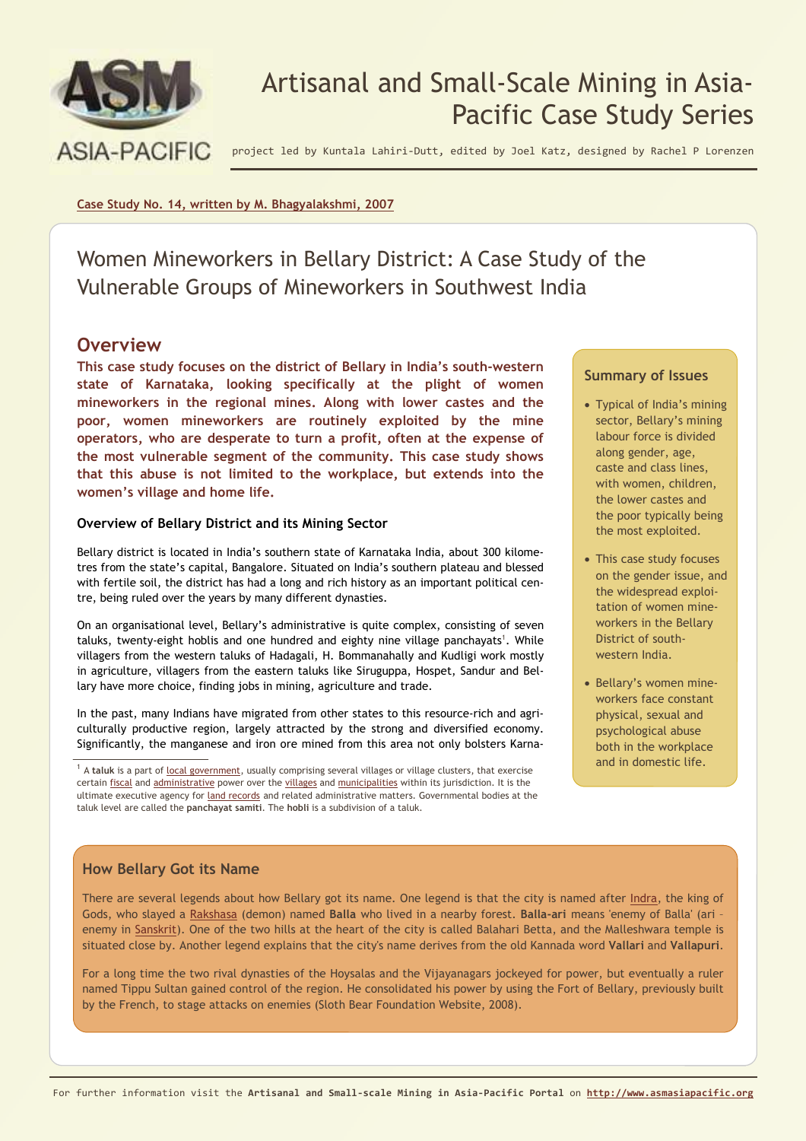

# Artisanal and Small-Scale Mining in Asia-Pacific Case Study Series

project led by Kuntala Lahiri-Dutt, edited by Joel Katz, designed by Rachel P Lorenzen

**Case Study No. 14, written by M. Bhagyalakshmi, 2007**

Women Mineworkers in Bellary District: A Case Study of the Vulnerable Groups of Mineworkers in Southwest India

### **Overview**

**This case study focuses on the district of Bellary in India's south-western state of Karnataka, looking specifically at the plight of women mineworkers in the regional mines. Along with lower castes and the poor, women mineworkers are routinely exploited by the mine operators, who are desperate to turn a profit, often at the expense of the most vulnerable segment of the community. This case study shows that this abuse is not limited to the workplace, but extends into the women's village and home life.**

### **Overview of Bellary District and its Mining Sector**

Bellary district is located in India's southern state of Karnataka India, about 300 kilometres from the state's capital, Bangalore. Situated on India's southern plateau and blessed with fertile soil, the district has had a long and rich history as an important political centre, being ruled over the years by many different dynasties.

On an organisational level, Bellary's administrative is quite complex, consisting of seven taluks, twenty-eight hoblis and one hundred and eighty nine village panchayats<sup>1</sup>. While villagers from the western taluks of Hadagali, H. Bommanahally and Kudligi work mostly in agriculture, villagers from the eastern taluks like Siruguppa, Hospet, Sandur and Bellary have more choice, finding jobs in mining, agriculture and trade.

In the past, many Indians have migrated from other states to this resource-rich and agriculturally productive region, largely attracted by the strong and diversified economy. Significantly, the manganese and iron ore mined from this area not only bolsters Karna-

<sup>1</sup> A taluk is a part of <u>local government</u>, usually comprising several villages or village clusters, that exercise certain fiscal and administrative power over the villages and municipalities within its jurisdiction. It is the ultimate executive agency for land records and related administrative matters. Governmental bodies at the taluk level are called the **panchayat samiti**. The **hobli** is a subdivision of a taluk.

### **Summary of Issues**

- Typical of India's mining sector, Bellary's mining labour force is divided along gender, age, caste and class lines, with women, children, the lower castes and the poor typically being the most exploited.
- This case study focuses on the gender issue, and the widespread exploitation of women mineworkers in the Bellary District of southwestern India.
- Bellary's women mineworkers face constant physical, sexual and psychological abuse both in the workplace and in domestic life.

### **How Bellary Got its Name**

There are several legends about how Bellary got its name. One legend is that the city is named after Indra, the king of Gods, who slayed a Rakshasa (demon) named **Balla** who lived in a nearby forest. **Balla-ari** means 'enemy of Balla' (ari – enemy in Sanskrit). One of the two hills at the heart of the city is called Balahari Betta, and the Malleshwara temple is situated close by. Another legend explains that the city's name derives from the old Kannada word **Vallari** and **Vallapuri**.

For a long time the two rival dynasties of the Hoysalas and the Vijayanagars jockeyed for power, but eventually a ruler named Tippu Sultan gained control of the region. He consolidated his power by using the Fort of Bellary, previously built by the French, to stage attacks on enemies (Sloth Bear Foundation Website, 2008).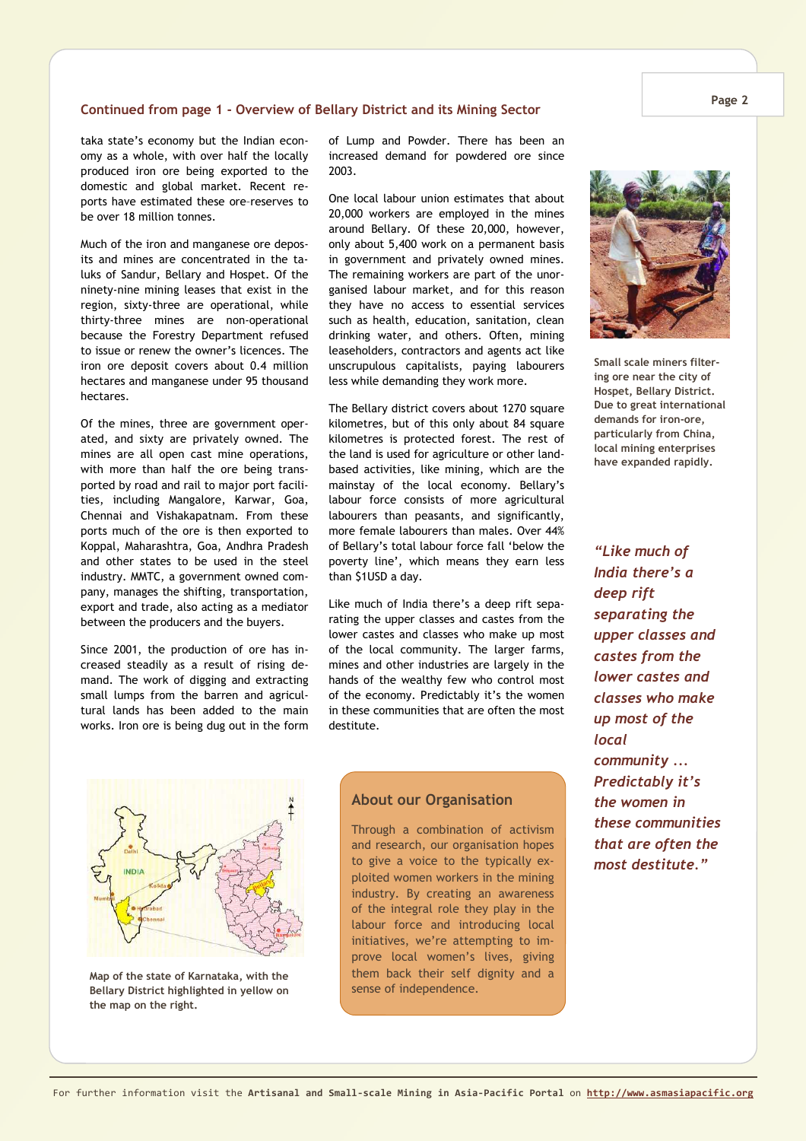#### **Continued from page 1 - Overview of Bellary District and its Mining Sector**

taka state's economy but the Indian economy as a whole, with over half the locally produced iron ore being exported to the domestic and global market. Recent reports have estimated these ore–reserves to be over 18 million tonnes.

Much of the iron and manganese ore deposits and mines are concentrated in the taluks of Sandur, Bellary and Hospet. Of the ninety-nine mining leases that exist in the region, sixty-three are operational, while thirty-three mines are non-operational because the Forestry Department refused to issue or renew the owner's licences. The iron ore deposit covers about 0.4 million hectares and manganese under 95 thousand hectares.

Of the mines, three are government operated, and sixty are privately owned. The mines are all open cast mine operations, with more than half the ore being transported by road and rail to major port facilities, including Mangalore, Karwar, Goa, Chennai and Vishakapatnam. From these ports much of the ore is then exported to Koppal, Maharashtra, Goa, Andhra Pradesh and other states to be used in the steel industry. MMTC, a government owned company, manages the shifting, transportation, export and trade, also acting as a mediator between the producers and the buyers.

Since 2001, the production of ore has increased steadily as a result of rising demand. The work of digging and extracting small lumps from the barren and agricultural lands has been added to the main works. Iron ore is being dug out in the form of Lump and Powder. There has been an increased demand for powdered ore since 2003.

One local labour union estimates that about 20,000 workers are employed in the mines around Bellary. Of these 20,000, however, only about 5,400 work on a permanent basis in government and privately owned mines. The remaining workers are part of the unorganised labour market, and for this reason they have no access to essential services such as health, education, sanitation, clean drinking water, and others. Often, mining leaseholders, contractors and agents act like unscrupulous capitalists, paying labourers less while demanding they work more.

The Bellary district covers about 1270 square kilometres, but of this only about 84 square kilometres is protected forest. The rest of the land is used for agriculture or other landbased activities, like mining, which are the mainstay of the local economy. Bellary's labour force consists of more agricultural labourers than peasants, and significantly, more female labourers than males. Over 44% of Bellary's total labour force fall 'below the poverty line', which means they earn less than \$1USD a day.

Like much of India there's a deep rift separating the upper classes and castes from the lower castes and classes who make up most of the local community. The larger farms, mines and other industries are largely in the hands of the wealthy few who control most of the economy. Predictably it's the women in these communities that are often the most destitute.

*India there's a deep rift separating the upper classes and castes from the lower castes and classes who make up most of the local community ... Predictably it's the women in these communities that are often the most destitute."* 



**Map of the state of Karnataka, with the Bellary District highlighted in yellow on the map on the right.**

### **About our Organisation**

Through a combination of activism and research, our organisation hopes to give a voice to the typically exploited women workers in the mining industry. By creating an awareness of the integral role they play in the labour force and introducing local initiatives, we're attempting to improve local women's lives, giving them back their self dignity and a sense of independence.



**Small scale miners filtering ore near the city of Hospet, Bellary District. Due to great international demands for iron-ore, particularly from China, local mining enterprises have expanded rapidly.** 

*"Like much of*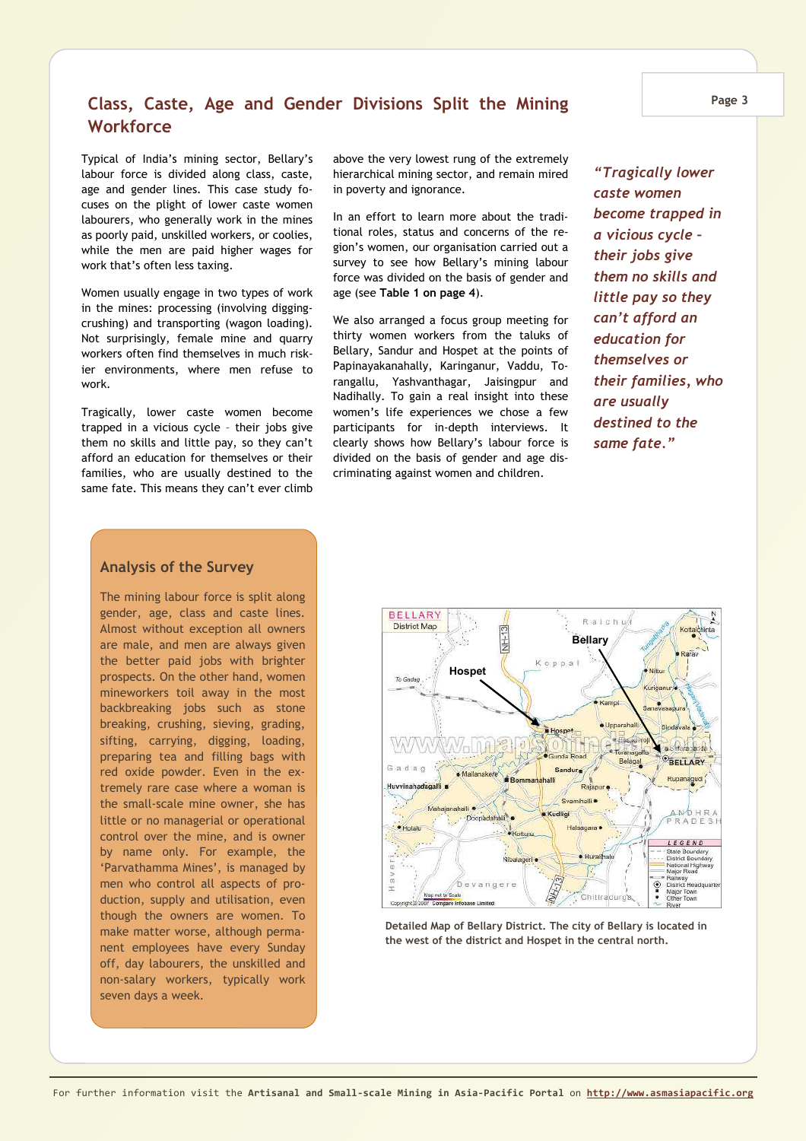### **Class, Caste, Age and Gender Divisions Split the Mining Workforce**

Typical of India's mining sector, Bellary's labour force is divided along class, caste, age and gender lines. This case study focuses on the plight of lower caste women labourers, who generally work in the mines as poorly paid, unskilled workers, or coolies, while the men are paid higher wages for work that's often less taxing.

Women usually engage in two types of work in the mines: processing (involving diggingcrushing) and transporting (wagon loading). Not surprisingly, female mine and quarry workers often find themselves in much riskier environments, where men refuse to work.

Tragically, lower caste women become trapped in a vicious cycle – their jobs give them no skills and little pay, so they can't afford an education for themselves or their families, who are usually destined to the same fate. This means they can't ever climb above the very lowest rung of the extremely hierarchical mining sector, and remain mired in poverty and ignorance.

In an effort to learn more about the traditional roles, status and concerns of the region's women, our organisation carried out a survey to see how Bellary's mining labour force was divided on the basis of gender and age (see **Table 1 on page 4**).

We also arranged a focus group meeting for thirty women workers from the taluks of Bellary, Sandur and Hospet at the points of Papinayakanahally, Karinganur, Vaddu, Torangallu, Yashvanthagar, Jaisingpur and Nadihally. To gain a real insight into these women's life experiences we chose a few participants for in-depth interviews. It clearly shows how Bellary's labour force is divided on the basis of gender and age discriminating against women and children.

*"Tragically lower caste women become trapped in a vicious cycle – their jobs give them no skills and little pay so they can't afford an education for themselves or their families, who are usually destined to the same fate."* 

### **Analysis of the Survey**

The mining labour force is split along gender, age, class and caste lines. Almost without exception all owners are male, and men are always given the better paid jobs with brighter prospects. On the other hand, women mineworkers toil away in the most backbreaking jobs such as stone breaking, crushing, sieving, grading, sifting, carrying, digging, loading, preparing tea and filling bags with red oxide powder. Even in the extremely rare case where a woman is the small-scale mine owner, she has little or no managerial or operational control over the mine, and is owner by name only. For example, the 'Parvathamma Mines', is managed by men who control all aspects of production, supply and utilisation, even though the owners are women. To make matter worse, although permanent employees have every Sunday off, day labourers, the unskilled and non-salary workers, typically work seven days a week.



**Detailed Map of Bellary District. The city of Bellary is located in the west of the district and Hospet in the central north.**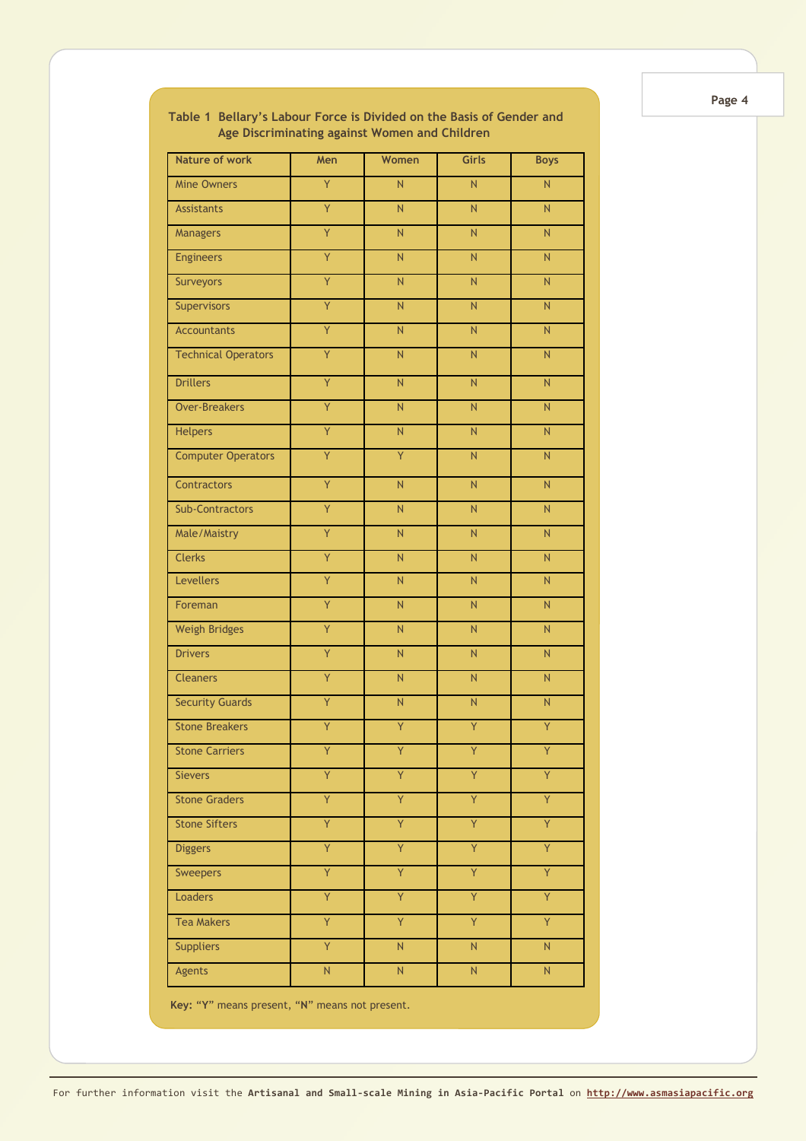| <b>Nature of work</b>      | Men                     | Women                   | <b>Girls</b>            | <b>Boys</b>             |
|----------------------------|-------------------------|-------------------------|-------------------------|-------------------------|
| <b>Mine Owners</b>         | Y                       | N                       | N                       | N.                      |
| <b>Assistants</b>          | $\overline{Y}$          | N                       | N                       | N                       |
| Managers                   | Y                       | N                       | N                       | N                       |
| <b>Engineers</b>           | $\overline{Y}$          | N                       | N                       | N                       |
| <b>Surveyors</b>           | Y                       | $\overline{N}$          | N                       | N                       |
| Supervisors                | Ÿ                       | N                       | N                       | N                       |
| <b>Accountants</b>         | Y                       | $\overline{N}$          | N                       | N                       |
| <b>Technical Operators</b> | Y                       | N                       | N.                      | N                       |
| <b>Drillers</b>            | Ÿ                       | N                       | N.                      | N                       |
| <b>Over-Breakers</b>       | Ÿ                       | N                       | N.                      | N                       |
| <b>Helpers</b>             | Ÿ                       | N                       | N.                      | N                       |
| <b>Computer Operators</b>  | $\overline{Y}$          | Ÿ                       | N                       | N                       |
| Contractors                | Ÿ                       | N                       | N.                      | N                       |
| <b>Sub-Contractors</b>     | Y                       | $\overline{\mathsf{N}}$ | N                       | N                       |
| Male/Maistry               | Ÿ                       | N                       | N                       | N                       |
| <b>Clerks</b>              | Y                       | $\overline{\mathsf{N}}$ | N                       | N                       |
| Levellers                  | Ÿ                       | $\overline{\mathsf{N}}$ | N.                      | N                       |
| Foreman                    | Ÿ                       | N                       | N                       | N                       |
| <b>Weigh Bridges</b>       | Ÿ                       | $\overline{\mathsf{N}}$ | N.                      | N                       |
| <b>Drivers</b>             | Y                       | N                       | N                       | N                       |
| <b>Cleaners</b>            | Ÿ                       | $\overline{N}$          | N.                      | N                       |
| <b>Security Guards</b>     | Y                       | $\overline{\mathsf{N}}$ | $\overline{\mathsf{N}}$ | N                       |
| <b>Stone Breakers</b>      | Y                       | Ÿ                       | Y                       | Ÿ                       |
| <b>Stone Carriers</b>      | Y                       | Y                       | Y                       | Y                       |
| <b>Sievers</b>             | Ÿ                       | Ÿ                       | Ÿ                       | Ÿ                       |
| <b>Stone Graders</b>       | Ÿ                       | Ÿ                       | Ÿ                       | Ÿ                       |
| <b>Stone Sifters</b>       | Ÿ                       | Ÿ                       | Ÿ                       | Ÿ                       |
| <b>Diggers</b>             | Ÿ                       | Ÿ                       | Ÿ                       | Ÿ                       |
| Sweepers                   | Ÿ                       | Ÿ                       | Ÿ                       | Ÿ                       |
| Loaders                    | Ÿ                       | Ÿ                       | Ÿ                       | Ÿ                       |
| <b>Tea Makers</b>          | Ÿ                       | Ÿ                       | Ÿ                       | Ÿ                       |
| <b>Suppliers</b>           | Ÿ                       | $\overline{\mathsf{N}}$ | $\overline{N}$          | $\overline{\mathsf{N}}$ |
| Agents                     | $\overline{\mathsf{N}}$ | $\overline{\mathsf{N}}$ | $\overline{\mathsf{N}}$ | ${\sf N}$               |

**Table 1 Bellary's Labour Force is Divided on the Basis of Gender and Age Discriminating against Women and Children**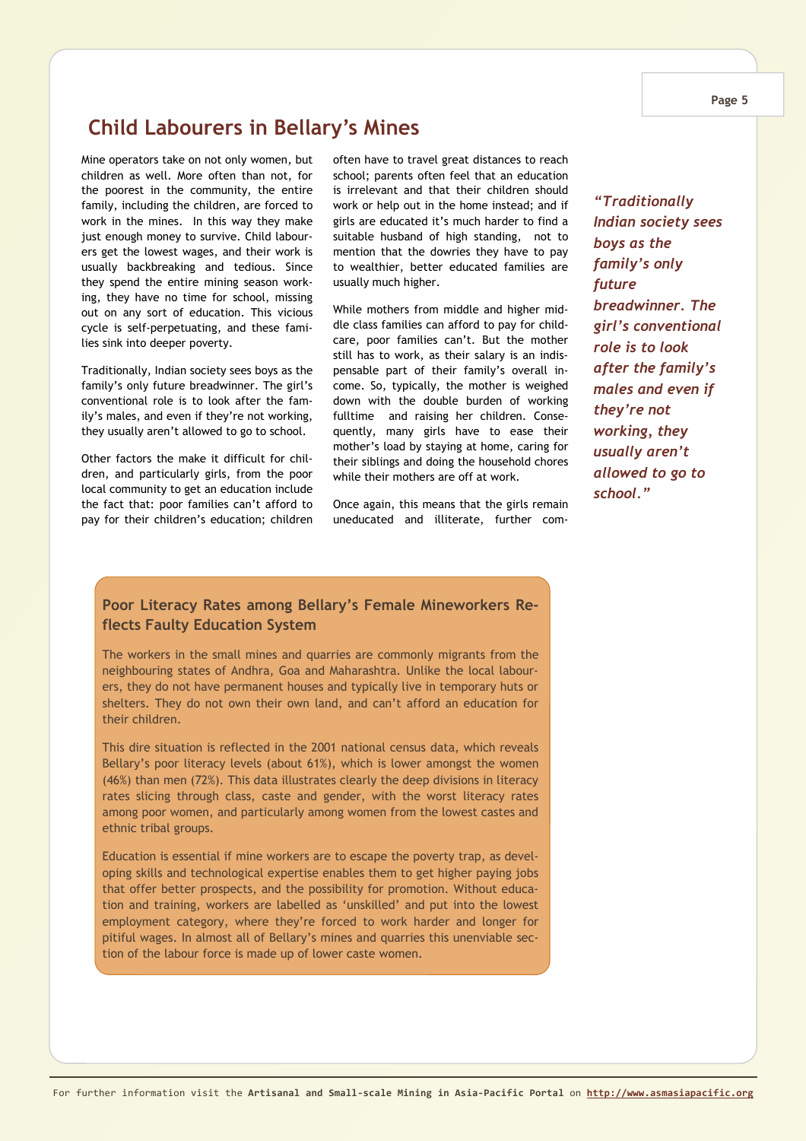#### **Page 5**

# **Child Labourers in Bellary's Mines**

Mine operators take on not only women, but children as well. More often than not, for the poorest in the community, the entire family, including the children, are forced to work in the mines. In this way they make just enough money to survive. Child labourers get the lowest wages, and their work is usually backbreaking and tedious. Since they spend the entire mining season working, they have no time for school, missing out on any sort of education. This vicious cycle is self-perpetuating, and these families sink into deeper poverty.

Traditionally, Indian society sees boys as the family's only future breadwinner. The girl's conventional role is to look after the family's males, and even if they're not working, they usually aren't allowed to go to school.

Other factors the make it difficult for children, and particularly girls, from the poor local community to get an education include the fact that: poor families can't afford to pay for their children's education; children often have to travel great distances to reach school; parents often feel that an education is irrelevant and that their children should work or help out in the home instead; and if girls are educated it's much harder to find a suitable husband of high standing, not to mention that the dowries they have to pay to wealthier, better educated families are usually much higher.

While mothers from middle and higher middle class families can afford to pay for childcare, poor families can't. But the mother still has to work, as their salary is an indispensable part of their family's overall income. So, typically, the mother is weighed down with the double burden of working fulltime and raising her children. Consequently, many girls have to ease their mother's load by staying at home, caring for their siblings and doing the household chores while their mothers are off at work.

Once again, this means that the girls remain uneducated and illiterate, further com-

*"Traditionally Indian society sees boys as the family's only future breadwinner. The girl's conventional role is to look after the family's males and even if they're not working, they usually aren't allowed to go to school."* 

### **Poor Literacy Rates among Bellary's Female Mineworkers Reflects Faulty Education System**

The workers in the small mines and quarries are commonly migrants from the neighbouring states of Andhra, Goa and Maharashtra. Unlike the local labourers, they do not have permanent houses and typically live in temporary huts or shelters. They do not own their own land, and can't afford an education for their children.

This dire situation is reflected in the 2001 national census data, which reveals Bellary's poor literacy levels (about 61%), which is lower amongst the women (46%) than men (72%). This data illustrates clearly the deep divisions in literacy rates slicing through class, caste and gender, with the worst literacy rates among poor women, and particularly among women from the lowest castes and ethnic tribal groups.

Education is essential if mine workers are to escape the poverty trap, as developing skills and technological expertise enables them to get higher paying jobs that offer better prospects, and the possibility for promotion. Without education and training, workers are labelled as 'unskilled' and put into the lowest employment category, where they're forced to work harder and longer for pitiful wages. In almost all of Bellary's mines and quarries this unenviable section of the labour force is made up of lower caste women.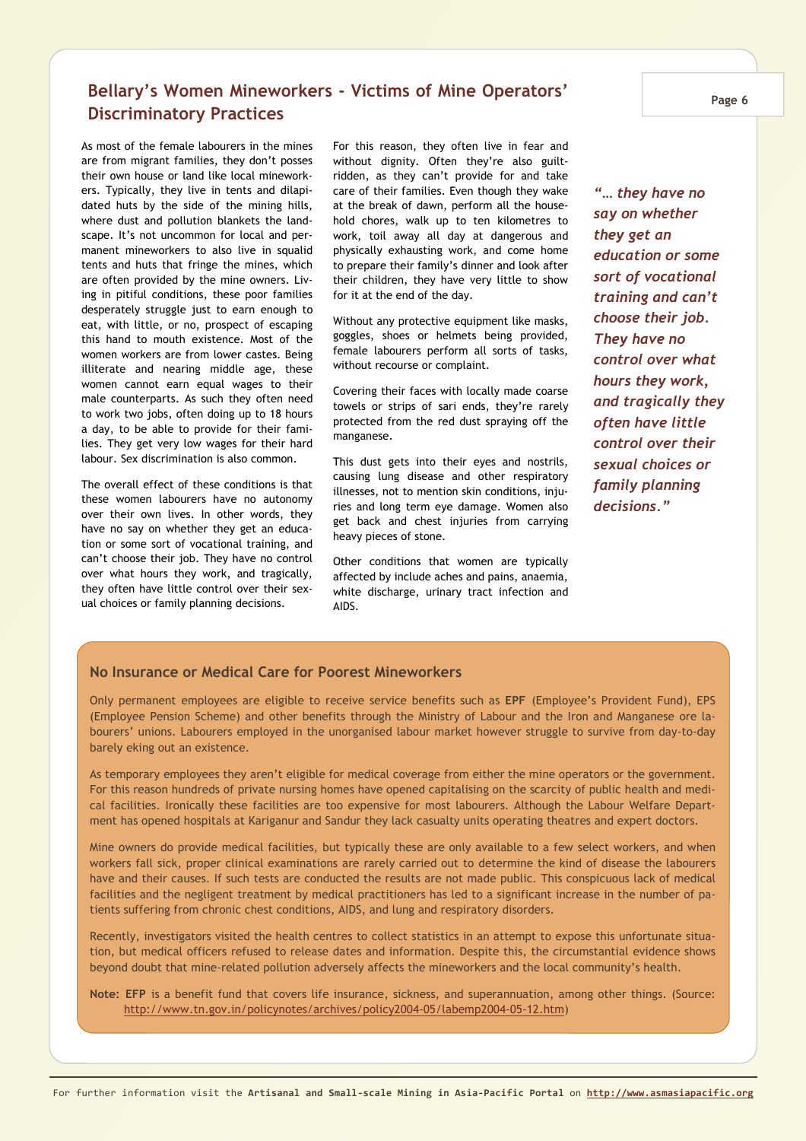### **Bellary's Women Mineworkers - Victims of Mine Operators' Discriminatory Practices**

As most of the female labourers in the mines are from migrant families, they don't posses their own house or land like local mineworkers. Typically, they live in tents and dilapidated huts by the side of the mining hills, where dust and pollution blankets the landscape. It's not uncommon for local and permanent mineworkers to also live in squalid tents and huts that fringe the mines, which are often provided by the mine owners. Living in pitiful conditions, these poor families desperately struggle just to earn enough to eat, with little, or no, prospect of escaping this hand to mouth existence. Most of the women workers are from lower castes. Being illiterate and nearing middle age, these women cannot earn equal wages to their male counterparts. As such they often need to work two jobs, often doing up to 18 hours a day, to be able to provide for their families. They get very low wages for their hard labour. Sex discrimination is also common.

The overall effect of these conditions is that these women labourers have no autonomy over their own lives. In other words, they have no say on whether they get an education or some sort of vocational training, and can't choose their job. They have no control over what hours they work, and tragically, they often have little control over their sexual choices or family planning decisions.

For this reason, they often live in fear and without dignity. Often they're also guiltridden, as they can't provide for and take care of their families. Even though they wake at the break of dawn, perform all the household chores, walk up to ten kilometres to work, toil away all day at dangerous and physically exhausting work, and come home to prepare their family's dinner and look after their children, they have very little to show for it at the end of the day.

Without any protective equipment like masks, goggles, shoes or helmets being provided, female labourers perform all sorts of tasks, without recourse or complaint.

Covering their faces with locally made coarse towels or strips of sari ends, they're rarely protected from the red dust spraying off the manganese.

This dust gets into their eyes and nostrils, causing lung disease and other respiratory illnesses, not to mention skin conditions, injuries and long term eye damage. Women also get back and chest injuries from carrying heavy pieces of stone.

Other conditions that women are typically affected by include aches and pains, anaemia, white discharge, urinary tract infection and AIDS.

*"… they have no say on whether they get an education or some sort of vocational training and can't choose their job. They have no control over what hours they work, and tragically they often have little control over their sexual choices or family planning decisions."* 

### **No Insurance or Medical Care for Poorest Mineworkers**

Only permanent employees are eligible to receive service benefits such as **EPF** (Employee's Provident Fund), EPS (Employee Pension Scheme) and other benefits through the Ministry of Labour and the Iron and Manganese ore labourers' unions. Labourers employed in the unorganised labour market however struggle to survive from day-to-day barely eking out an existence.

As temporary employees they aren't eligible for medical coverage from either the mine operators or the government. For this reason hundreds of private nursing homes have opened capitalising on the scarcity of public health and medical facilities. Ironically these facilities are too expensive for most labourers. Although the Labour Welfare Department has opened hospitals at Kariganur and Sandur they lack casualty units operating theatres and expert doctors.

Mine owners do provide medical facilities, but typically these are only available to a few select workers, and when workers fall sick, proper clinical examinations are rarely carried out to determine the kind of disease the labourers have and their causes. If such tests are conducted the results are not made public. This conspicuous lack of medical facilities and the negligent treatment by medical practitioners has led to a significant increase in the number of patients suffering from chronic chest conditions, AIDS, and lung and respiratory disorders.

Recently, investigators visited the health centres to collect statistics in an attempt to expose this unfortunate situation, but medical officers refused to release dates and information. Despite this, the circumstantial evidence shows beyond doubt that mine-related pollution adversely affects the mineworkers and the local community's health.

**Note: EFP** is a benefit fund that covers life insurance, sickness, and superannuation, among other things. (Source: http://www.tn.gov.in/policynotes/archives/policy2004-05/labemp2004-05-12.htm)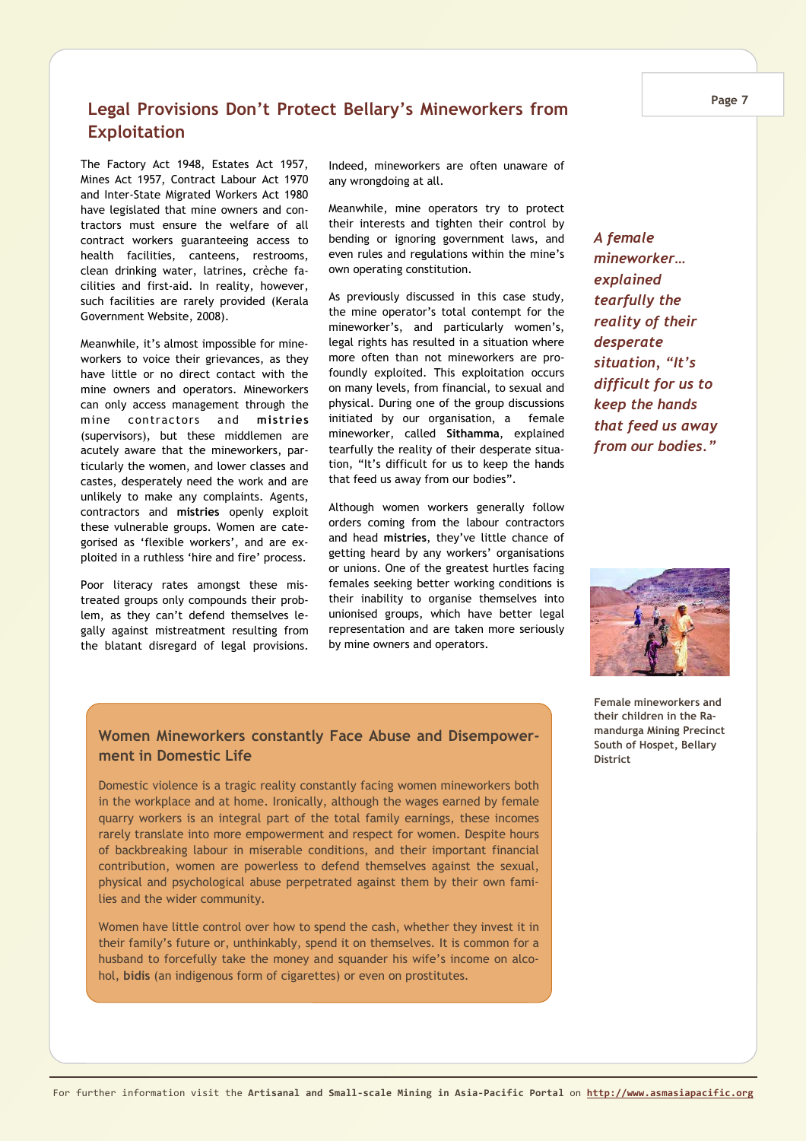### **Legal Provisions Don't Protect Bellary's Mineworkers from Exploitation**

The Factory Act 1948, Estates Act 1957, Mines Act 1957, Contract Labour Act 1970 and Inter-State Migrated Workers Act 1980 have legislated that mine owners and contractors must ensure the welfare of all contract workers guaranteeing access to health facilities, canteens, restrooms, clean drinking water, latrines, crèche facilities and first-aid. In reality, however, such facilities are rarely provided (Kerala Government Website, 2008).

Meanwhile, it's almost impossible for mineworkers to voice their grievances, as they have little or no direct contact with the mine owners and operators. Mineworkers can only access management through the mine contractors and **mistries**  (supervisors), but these middlemen are acutely aware that the mineworkers, particularly the women, and lower classes and castes, desperately need the work and are unlikely to make any complaints. Agents, contractors and **mistries** openly exploit these vulnerable groups. Women are categorised as 'flexible workers', and are exploited in a ruthless 'hire and fire' process.

Poor literacy rates amongst these mistreated groups only compounds their problem, as they can't defend themselves legally against mistreatment resulting from the blatant disregard of legal provisions. Indeed, mineworkers are often unaware of any wrongdoing at all.

Meanwhile, mine operators try to protect their interests and tighten their control by bending or ignoring government laws, and even rules and regulations within the mine's own operating constitution.

As previously discussed in this case study, the mine operator's total contempt for the mineworker's, and particularly women's, legal rights has resulted in a situation where more often than not mineworkers are profoundly exploited. This exploitation occurs on many levels, from financial, to sexual and physical. During one of the group discussions initiated by our organisation, a female mineworker, called **Sithamma**, explained tearfully the reality of their desperate situation, "It's difficult for us to keep the hands that feed us away from our bodies".

Although women workers generally follow orders coming from the labour contractors and head **mistries**, they've little chance of getting heard by any workers' organisations or unions. One of the greatest hurtles facing females seeking better working conditions is their inability to organise themselves into unionised groups, which have better legal representation and are taken more seriously by mine owners and operators.

*A female mineworker… explained tearfully the reality of their desperate situation, "It's difficult for us to keep the hands that feed us away from our bodies."* 



### **Women Mineworkers constantly Face Abuse and Disempowerment in Domestic Life**

Domestic violence is a tragic reality constantly facing women mineworkers both in the workplace and at home. Ironically, although the wages earned by female quarry workers is an integral part of the total family earnings, these incomes rarely translate into more empowerment and respect for women. Despite hours of backbreaking labour in miserable conditions, and their important financial contribution, women are powerless to defend themselves against the sexual, physical and psychological abuse perpetrated against them by their own families and the wider community.

Women have little control over how to spend the cash, whether they invest it in their family's future or, unthinkably, spend it on themselves. It is common for a husband to forcefully take the money and squander his wife's income on alcohol, **bidis** (an indigenous form of cigarettes) or even on prostitutes.

**Female mineworkers and their children in the Ramandurga Mining Precinct South of Hospet, Bellary District**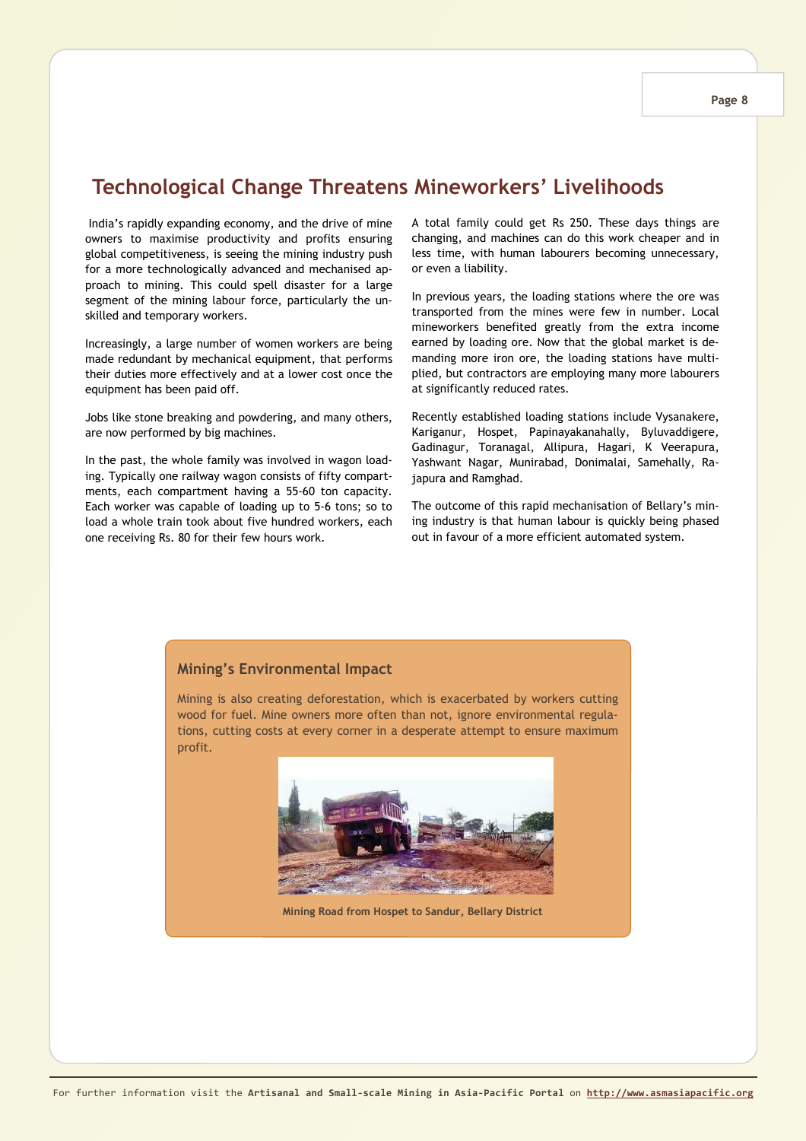# **Technological Change Threatens Mineworkers' Livelihoods**

 India's rapidly expanding economy, and the drive of mine owners to maximise productivity and profits ensuring global competitiveness, is seeing the mining industry push for a more technologically advanced and mechanised approach to mining. This could spell disaster for a large segment of the mining labour force, particularly the unskilled and temporary workers.

Increasingly, a large number of women workers are being made redundant by mechanical equipment, that performs their duties more effectively and at a lower cost once the equipment has been paid off.

Jobs like stone breaking and powdering, and many others, are now performed by big machines.

In the past, the whole family was involved in wagon loading. Typically one railway wagon consists of fifty compartments, each compartment having a 55-60 ton capacity. Each worker was capable of loading up to 5-6 tons; so to load a whole train took about five hundred workers, each one receiving Rs. 80 for their few hours work.

A total family could get Rs 250. These days things are changing, and machines can do this work cheaper and in less time, with human labourers becoming unnecessary, or even a liability.

In previous years, the loading stations where the ore was transported from the mines were few in number. Local mineworkers benefited greatly from the extra income earned by loading ore. Now that the global market is demanding more iron ore, the loading stations have multiplied, but contractors are employing many more labourers at significantly reduced rates.

Recently established loading stations include Vysanakere, Kariganur, Hospet, Papinayakanahally, Byluvaddigere, Gadinagur, Toranagal, Allipura, Hagari, K Veerapura, Yashwant Nagar, Munirabad, Donimalai, Samehally, Rajapura and Ramghad.

The outcome of this rapid mechanisation of Bellary's mining industry is that human labour is quickly being phased out in favour of a more efficient automated system.

### **Mining's Environmental Impact**

Mining is also creating deforestation, which is exacerbated by workers cutting wood for fuel. Mine owners more often than not, ignore environmental regulations, cutting costs at every corner in a desperate attempt to ensure maximum profit.



**Mining Road from Hospet to Sandur, Bellary District**